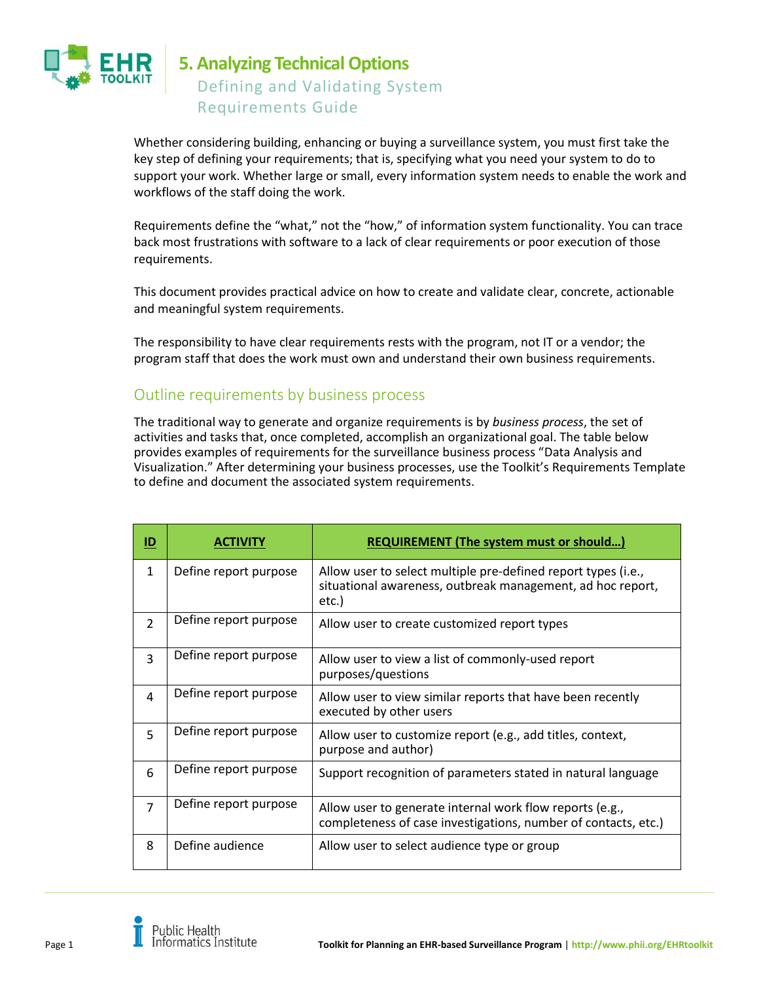

# **5. Analyzing Technical Options** Defining and Validating System Requirements Guide

Whether considering building, enhancing or buying a surveillance system, you must first take the key step of defining your requirements; that is, specifying what you need your system to do to support your work. Whether large or small, every information system needs to enable the work and workflows of the staff doing the work.

Requirements define the "what," not the "how," of information system functionality. You can trace back most frustrations with software to a lack of clear requirements or poor execution of those requirements.

This document provides practical advice on how to create and validate clear, concrete, actionable and meaningful system requirements.

The responsibility to have clear requirements rests with the program, not IT or a vendor; the program staff that does the work must own and understand their own business requirements.

# Outline requirements by business process

The traditional way to generate and organize requirements is by *business process*, the set of activities and tasks that, once completed, accomplish an organizational goal. The table below provides examples of requirements for the surveillance business process "Data Analysis and Visualization." After determining your business processes, use the Toolkit's Requirements Template to define and document the associated system requirements.

| $\underline{\mathsf{ID}}$ | <b>ACTIVITY</b>       | <b>REQUIREMENT (The system must or should)</b>                                                                                       |
|---------------------------|-----------------------|--------------------------------------------------------------------------------------------------------------------------------------|
| $\mathbf{1}$              | Define report purpose | Allow user to select multiple pre-defined report types (i.e.,<br>situational awareness, outbreak management, ad hoc report,<br>etc.) |
| $\overline{2}$            | Define report purpose | Allow user to create customized report types                                                                                         |
| 3                         | Define report purpose | Allow user to view a list of commonly-used report<br>purposes/questions                                                              |
| 4                         | Define report purpose | Allow user to view similar reports that have been recently<br>executed by other users                                                |
| 5                         | Define report purpose | Allow user to customize report (e.g., add titles, context,<br>purpose and author)                                                    |
| 6                         | Define report purpose | Support recognition of parameters stated in natural language                                                                         |
| $\overline{7}$            | Define report purpose | Allow user to generate internal work flow reports (e.g.,<br>completeness of case investigations, number of contacts, etc.)           |
| 8                         | Define audience       | Allow user to select audience type or group                                                                                          |

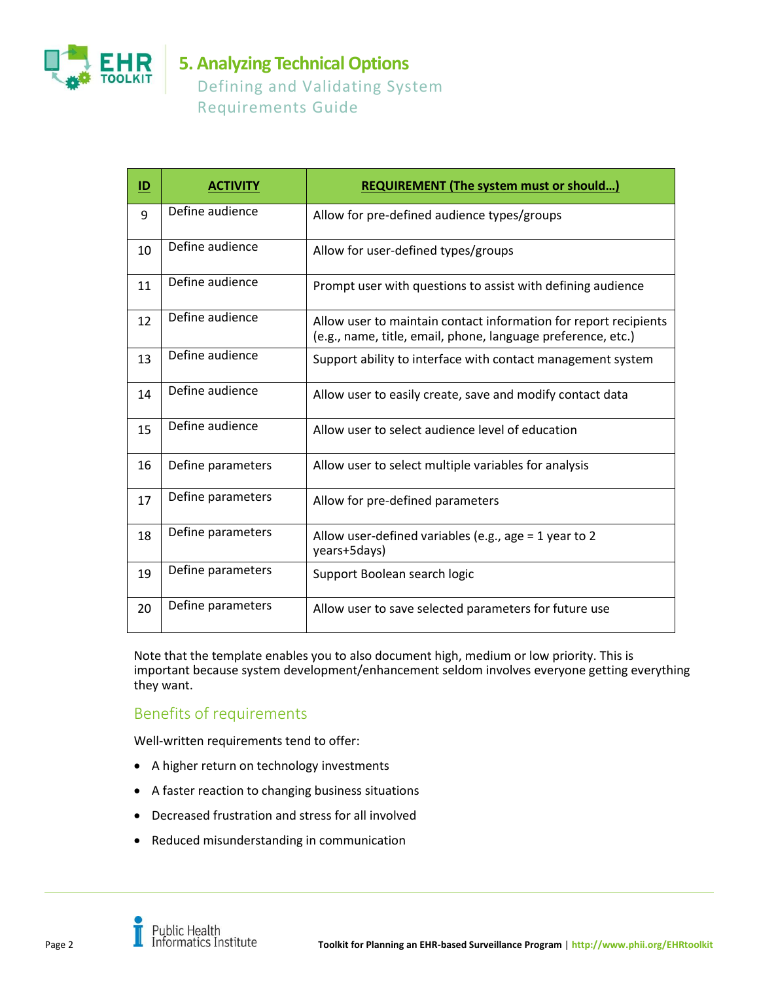

# **5. Analyzing Technical Options** Defining and Validating System Requirements Guide

| ID | <b>ACTIVITY</b>   | <b>REQUIREMENT (The system must or should)</b>                                                                                   |
|----|-------------------|----------------------------------------------------------------------------------------------------------------------------------|
| 9  | Define audience   | Allow for pre-defined audience types/groups                                                                                      |
| 10 | Define audience   | Allow for user-defined types/groups                                                                                              |
| 11 | Define audience   | Prompt user with questions to assist with defining audience                                                                      |
| 12 | Define audience   | Allow user to maintain contact information for report recipients<br>(e.g., name, title, email, phone, language preference, etc.) |
| 13 | Define audience   | Support ability to interface with contact management system                                                                      |
| 14 | Define audience   | Allow user to easily create, save and modify contact data                                                                        |
| 15 | Define audience   | Allow user to select audience level of education                                                                                 |
| 16 | Define parameters | Allow user to select multiple variables for analysis                                                                             |
| 17 | Define parameters | Allow for pre-defined parameters                                                                                                 |
| 18 | Define parameters | Allow user-defined variables (e.g., age = 1 year to 2<br>years+5days)                                                            |
| 19 | Define parameters | Support Boolean search logic                                                                                                     |
| 20 | Define parameters | Allow user to save selected parameters for future use                                                                            |

Note that the template enables you to also document high, medium or low priority. This is important because system development/enhancement seldom involves everyone getting everything they want.

# Benefits of requirements

Well-written requirements tend to offer:

- A higher return on technology investments
- A faster reaction to changing business situations
- Decreased frustration and stress for all involved
- Reduced misunderstanding in communication

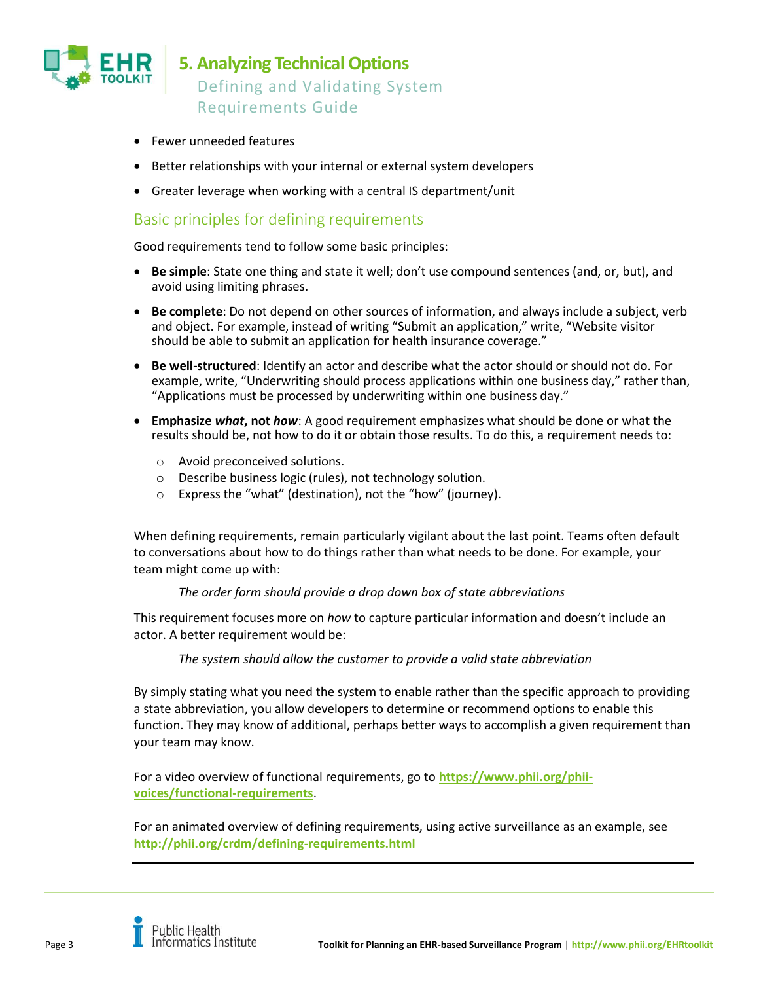

- Fewer unneeded features
- Better relationships with your internal or external system developers
- Greater leverage when working with a central IS department/unit

### Basic principles for defining requirements

Good requirements tend to follow some basic principles:

- **Be simple**: State one thing and state it well; don't use compound sentences (and, or, but), and avoid using limiting phrases.
- **Be complete**: Do not depend on other sources of information, and always include a subject, verb and object. For example, instead of writing "Submit an application," write, "Website visitor should be able to submit an application for health insurance coverage."
- **Be well-structured**: Identify an actor and describe what the actor should or should not do. For example, write, "Underwriting should process applications within one business day," rather than, "Applications must be processed by underwriting within one business day."
- **Emphasize** *what***, not** *how*: A good requirement emphasizes what should be done or what the results should be, not how to do it or obtain those results. To do this, a requirement needs to:
	- o Avoid preconceived solutions.
	- o Describe business logic (rules), not technology solution.
	- o Express the "what" (destination), not the "how" (journey).

When defining requirements, remain particularly vigilant about the last point. Teams often default to conversations about how to do things rather than what needs to be done. For example, your team might come up with:

#### *The order form should provide a drop down box of state abbreviations*

This requirement focuses more on *how* to capture particular information and doesn't include an actor. A better requirement would be:

*The system should allow the customer to provide a valid state abbreviation*

By simply stating what you need the system to enable rather than the specific approach to providing a state abbreviation, you allow developers to determine or recommend options to enable this function. They may know of additional, perhaps better ways to accomplish a given requirement than your team may know.

For a video overview of functional requirements, go to **[https://www.phii.org/phii](https://www.phii.org/phii-voices/functional-requirements)[voices/functional-requirements](https://www.phii.org/phii-voices/functional-requirements)**.

For an animated overview of defining requirements, using active surveillance as an example, see **<http://phii.org/crdm/defining-requirements.html>**

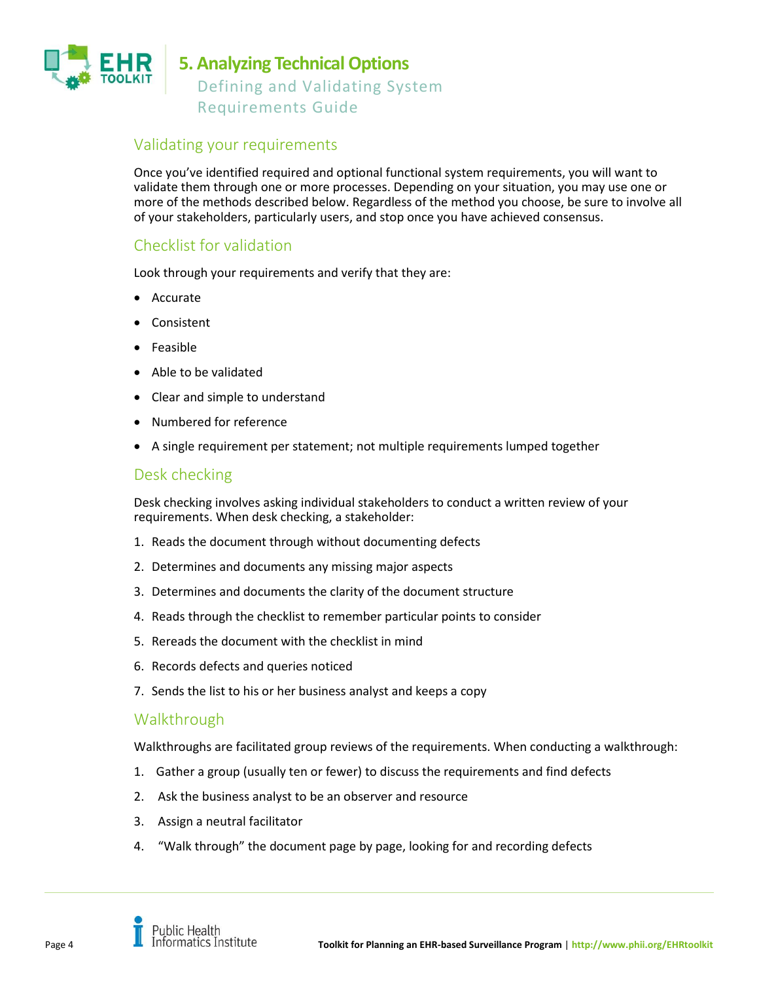

## Validating your requirements

Once you've identified required and optional functional system requirements, you will want to validate them through one or more processes. Depending on your situation, you may use one or more of the methods described below. Regardless of the method you choose, be sure to involve all of your stakeholders, particularly users, and stop once you have achieved consensus.

# Checklist for validation

Look through your requirements and verify that they are:

- Accurate
- Consistent
- Feasible
- Able to be validated
- Clear and simple to understand
- Numbered for reference
- A single requirement per statement; not multiple requirements lumped together

### Desk checking

Desk checking involves asking individual stakeholders to conduct a written review of your requirements. When desk checking, a stakeholder:

- 1. Reads the document through without documenting defects
- 2. Determines and documents any missing major aspects
- 3. Determines and documents the clarity of the document structure
- 4. Reads through the checklist to remember particular points to consider
- 5. Rereads the document with the checklist in mind
- 6. Records defects and queries noticed
- 7. Sends the list to his or her business analyst and keeps a copy

### Walkthrough

Walkthroughs are facilitated group reviews of the requirements. When conducting a walkthrough:

- 1. Gather a group (usually ten or fewer) to discuss the requirements and find defects
- 2. Ask the business analyst to be an observer and resource
- 3. Assign a neutral facilitator
- 4. "Walk through" the document page by page, looking for and recording defects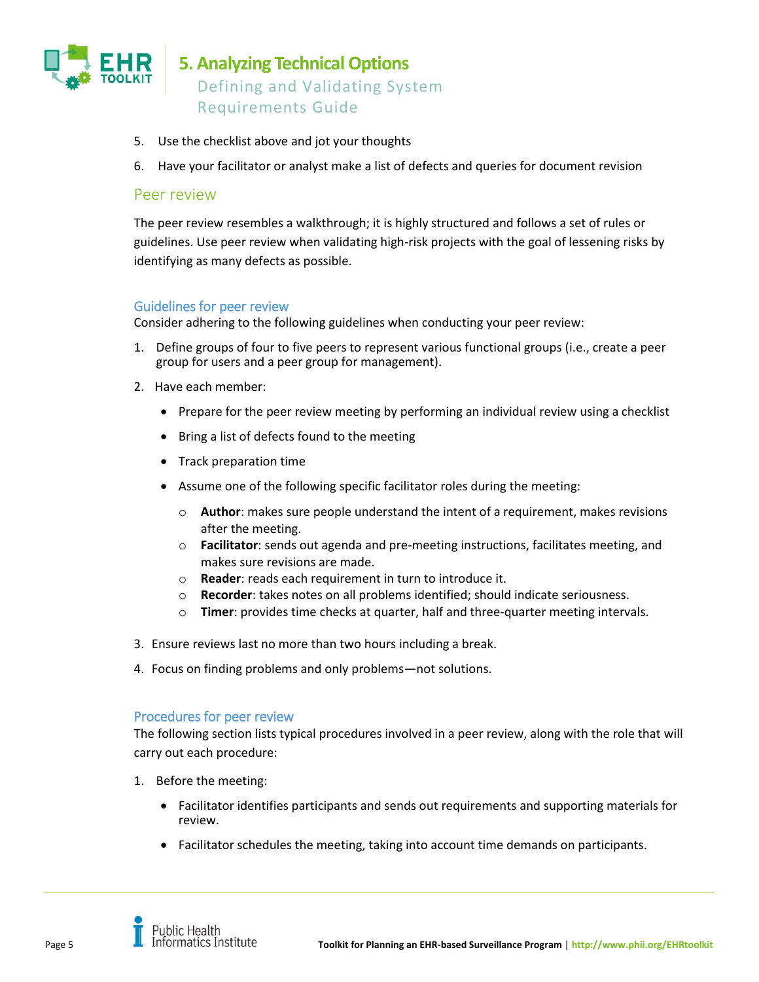

**5. Analyzing Technical Options** Defining and Validating System Requirements Guide

- 5. Use the checklist above and jot your thoughts
- 6. Have your facilitator or analyst make a list of defects and queries for document revision

### Peer review

The peer review resembles a walkthrough; it is highly structured and follows a set of rules or guidelines. Use peer review when validating high-risk projects with the goal of lessening risks by identifying as many defects as possible.

#### Guidelines for peer review

Consider adhering to the following guidelines when conducting your peer review:

- 1. Define groups of four to five peers to represent various functional groups (i.e., create a peer group for users and a peer group for management).
- 2. Have each member:
	- Prepare for the peer review meeting by performing an individual review using a checklist
	- Bring a list of defects found to the meeting
	- Track preparation time
	- Assume one of the following specific facilitator roles during the meeting:
		- o **Author**: makes sure people understand the intent of a requirement, makes revisions after the meeting.
		- o **Facilitator**: sends out agenda and pre-meeting instructions, facilitates meeting, and makes sure revisions are made.
		- o **Reader**: reads each requirement in turn to introduce it.
		- o **Recorder**: takes notes on all problems identified; should indicate seriousness.
		- o **Timer**: provides time checks at quarter, half and three-quarter meeting intervals.
- 3. Ensure reviews last no more than two hours including a break.
- 4. Focus on finding problems and only problems—not solutions.

#### Procedures for peer review

The following section lists typical procedures involved in a peer review, along with the role that will carry out each procedure:

- 1. Before the meeting:
	- Facilitator identifies participants and sends out requirements and supporting materials for review.
	- Facilitator schedules the meeting, taking into account time demands on participants.